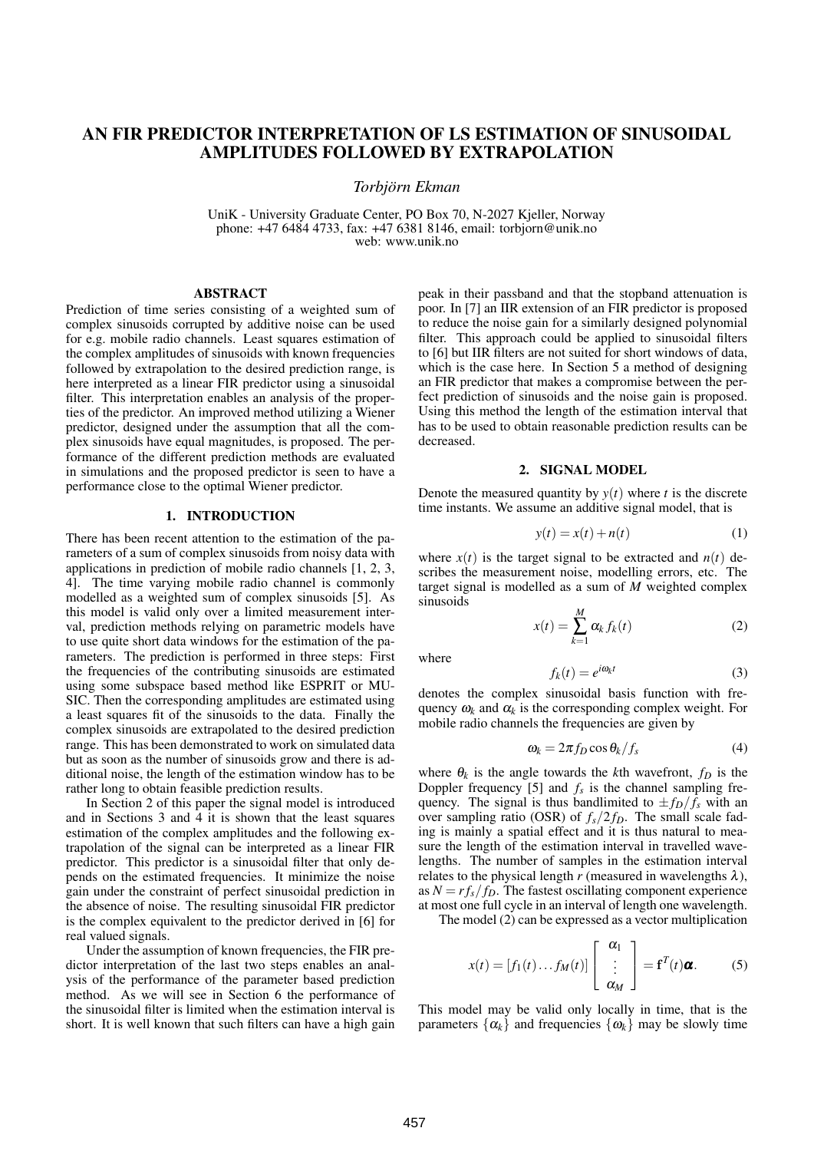# **AN FIR PREDICTOR INTERPRETATION OF LS ESTIMATION OF SINUSOIDAL AMPLITUDES FOLLOWED BY EXTRAPOLATION**

*Torbjorn ¨ Ekman*

UniK - University Graduate Center, PO Box 70, N-2027 Kjeller, Norway phone: +47 6484 4733, fax: +47 6381 8146, email: torbjorn@unik.no web: www.unik.no

### **ABSTRACT**

Prediction of time series consisting of a weighted sum of complex sinusoids corrupted by additive noise can be used for e.g. mobile radio channels. Least squares estimation of the complex amplitudes of sinusoids with known frequencies followed by extrapolation to the desired prediction range, is here interpreted as a linear FIR predictor using a sinusoidal filter. This interpretation enables an analysis of the properties of the predictor. An improved method utilizing a Wiener predictor, designed under the assumption that all the complex sinusoids have equal magnitudes, is proposed. The performance of the different prediction methods are evaluated in simulations and the proposed predictor is seen to have a performance close to the optimal Wiener predictor.

## **1. INTRODUCTION**

There has been recent attention to the estimation of the parameters of a sum of complex sinusoids from noisy data with applications in prediction of mobile radio channels [1, 2, 3, 4]. The time varying mobile radio channel is commonly modelled as a weighted sum of complex sinusoids [5]. As this model is valid only over a limited measurement interval, prediction methods relying on parametric models have to use quite short data windows for the estimation of the parameters. The prediction is performed in three steps: First the frequencies of the contributing sinusoids are estimated using some subspace based method like ESPRIT or MU-SIC. Then the corresponding amplitudes are estimated using a least squares fit of the sinusoids to the data. Finally the complex sinusoids are extrapolated to the desired prediction range. This has been demonstrated to work on simulated data but as soon as the number of sinusoids grow and there is additional noise, the length of the estimation window has to be rather long to obtain feasible prediction results.

In Section 2 of this paper the signal model is introduced and in Sections 3 and 4 it is shown that the least squares estimation of the complex amplitudes and the following extrapolation of the signal can be interpreted as a linear FIR predictor. This predictor is a sinusoidal filter that only depends on the estimated frequencies. It minimize the noise gain under the constraint of perfect sinusoidal prediction in the absence of noise. The resulting sinusoidal FIR predictor is the complex equivalent to the predictor derived in [6] for real valued signals.

Under the assumption of known frequencies, the FIR predictor interpretation of the last two steps enables an analysis of the performance of the parameter based prediction method. As we will see in Section 6 the performance of the sinusoidal filter is limited when the estimation interval is short. It is well known that such filters can have a high gain peak in their passband and that the stopband attenuation is poor. In [7] an IIR extension of an FIR predictor is proposed to reduce the noise gain for a similarly designed polynomial filter. This approach could be applied to sinusoidal filters to [6] but IIR filters are not suited for short windows of data, which is the case here. In Section 5 a method of designing an FIR predictor that makes a compromise between the perfect prediction of sinusoids and the noise gain is proposed. Using this method the length of the estimation interval that has to be used to obtain reasonable prediction results can be decreased.

#### **2. SIGNAL MODEL**

Denote the measured quantity by  $y(t)$  where *t* is the discrete time instants. We assume an additive signal model, that is

$$
y(t) = x(t) + n(t)
$$
\n<sup>(1)</sup>

where  $x(t)$  is the target signal to be extracted and  $n(t)$  describes the measurement noise, modelling errors, etc. The target signal is modelled as a sum of *M* weighted complex sinusoids

$$
x(t) = \sum_{k=1}^{M} \alpha_k f_k(t)
$$
 (2)

where

$$
f_k(t) = e^{i\omega_k t} \tag{3}
$$

denotes the complex sinusoidal basis function with frequency  $\omega_k$  and  $\alpha_k$  is the corresponding complex weight. For mobile radio channels the frequencies are given by

$$
\omega_k = 2\pi f_D \cos \theta_k / f_s \tag{4}
$$

where  $\theta_k$  is the angle towards the *k*th wavefront,  $f_D$  is the Doppler frequency [5] and  $f_s$  is the channel sampling frequency. The signal is thus bandlimited to  $\pm f_D/f_s$  with an over sampling ratio (OSR) of  $f_s/2f_D$ . The small scale fading is mainly a spatial effect and it is thus natural to measure the length of the estimation interval in travelled wavelengths. The number of samples in the estimation interval relates to the physical length  $r$  (measured in wavelengths  $\lambda$ ), as  $N = rf_s/f_D$ . The fastest oscillating component experience at most one full cycle in an interval of length one wavelength.

The model (2) can be expressed as a vector multiplication

$$
x(t) = [f_1(t) \dots f_M(t)] \begin{bmatrix} \alpha_1 \\ \vdots \\ \alpha_M \end{bmatrix} = \mathbf{f}^T(t) \boldsymbol{\alpha}.
$$
 (5)

This model may be valid only locally in time, that is the parameters  $\{\alpha_k\}$  and frequencies  $\{\omega_k\}$  may be slowly time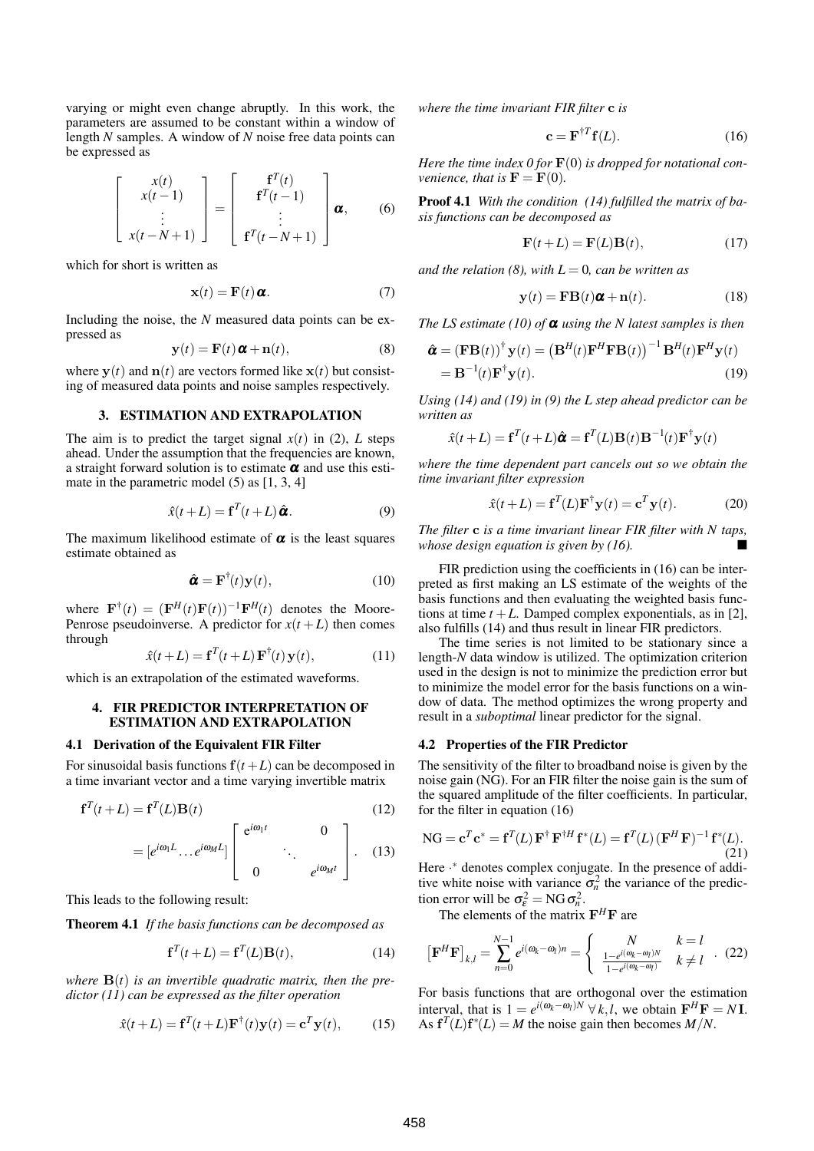varying or might even change abruptly. In this work, the parameters are assumed to be constant within a window of length *N* samples. A window of *N* noise free data points can be expressed as

$$
\begin{bmatrix} x(t) \\ x(t-1) \\ \vdots \\ x(t-N+1) \end{bmatrix} = \begin{bmatrix} f^{T}(t) \\ f^{T}(t-1) \\ \vdots \\ f^{T}(t-N+1) \end{bmatrix} \boldsymbol{\alpha}, \qquad (6)
$$

which for short is written as

$$
\mathbf{x}(t) = \mathbf{F}(t) \mathbf{\alpha}.
$$
 (7)

Including the noise, the *N* measured data points can be expressed as

$$
\mathbf{y}(t) = \mathbf{F}(t)\,\boldsymbol{\alpha} + \mathbf{n}(t),\tag{8}
$$

where  $y(t)$  and  $n(t)$  are vectors formed like  $x(t)$  but consisting of measured data points and noise samples respectively.

#### **3. ESTIMATION AND EXTRAPOLATION**

The aim is to predict the target signal  $x(t)$  in (2), *L* steps ahead. Under the assumption that the frequencies are known, a straight forward solution is to estimate  $\alpha$  and use this estimate in the parametric model (5) as [1, 3, 4]

$$
\hat{x}(t+L) = \mathbf{f}^T(t+L)\hat{\boldsymbol{\alpha}}.
$$
\n(9)

The maximum likelihood estimate of  $\alpha$  is the least squares estimate obtained as

$$
\hat{\boldsymbol{\alpha}} = \mathbf{F}^{\dagger}(t)\mathbf{y}(t),\tag{10}
$$

where  $\mathbf{F}^{\dagger}(t) = (\mathbf{F}^H(t)\mathbf{F}(t))^{-1}\mathbf{F}^H(t)$  denotes the Moore-Penrose pseudoinverse. A predictor for  $x(t+L)$  then comes through

$$
\hat{x}(t+L) = \mathbf{f}^T(t+L)\mathbf{F}^\dagger(t)\mathbf{y}(t),\tag{11}
$$

which is an extrapolation of the estimated waveforms.

## **4. FIR PREDICTOR INTERPRETATION OF ESTIMATION AND EXTRAPOLATION**

#### **4.1 Derivation of the Equivalent FIR Filter**

For sinusoidal basis functions  $f(t+L)$  can be decomposed in a time invariant vector and a time varying invertible matrix

$$
\mathbf{f}^T(t+L) = \mathbf{f}^T(L)\mathbf{B}(t) \tag{12}
$$

$$
= [e^{i\omega_1 L} \dots e^{i\omega_M L}] \begin{bmatrix} e^{i\omega_1 t} & 0 \\ 0 & \cdot \\ 0 & e^{i\omega_M t} \end{bmatrix} . \tag{13}
$$

This leads to the following result:

**Theorem 4.1** *If the basis functions can be decomposed as*

$$
\mathbf{f}^T(t+L) = \mathbf{f}^T(L)\mathbf{B}(t),\tag{14}
$$

*where*  $\mathbf{B}(t)$  *is an invertible quadratic matrix, then the predictor (11) can be expressed as the filter operation*

$$
\hat{x}(t+L) = \mathbf{f}^T(t+L)\mathbf{F}^\dagger(t)\mathbf{y}(t) = \mathbf{c}^T\mathbf{y}(t),\qquad(15)
$$

*where the time invariant FIR filter* c *is*

$$
\mathbf{c} = \mathbf{F}^{\dagger T} \mathbf{f}(L). \tag{16}
$$

*Here the time index*  $0$  *for*  $\mathbf{F}(0)$  *is dropped for notational convenience, that is*  $\mathbf{F} = \mathbf{F}(0)$ *.* 

**Proof 4.1** *With the condition (14) fulfilled the matrix of basis functions can be decomposed as*

$$
\mathbf{F}(t+L) = \mathbf{F}(L)\mathbf{B}(t),\tag{17}
$$

*and the relation* (8), *with*  $L = 0$ *, can be written as* 

$$
\mathbf{y}(t) = \mathbf{F} \mathbf{B}(t) \mathbf{\alpha} + \mathbf{n}(t). \tag{18}
$$

*The LS estimate* (10) *of*  $\alpha$  *using the N latest samples is then* 

$$
\hat{\boldsymbol{\alpha}} = (\mathbf{F}\mathbf{B}(t))^{\dagger} \mathbf{y}(t) = (\mathbf{B}^{H}(t)\mathbf{F}^{H}\mathbf{F}\mathbf{B}(t))^{-1} \mathbf{B}^{H}(t)\mathbf{F}^{H}\mathbf{y}(t)
$$

$$
= \mathbf{B}^{-1}(t)\mathbf{F}^{\dagger} \mathbf{y}(t).
$$
(19)

*Using (14) and (19) in (9) the L step ahead predictor can be written as*

$$
\hat{x}(t+L) = \mathbf{f}^T(t+L)\hat{\boldsymbol{\alpha}} = \mathbf{f}^T(L)\mathbf{B}(t)\mathbf{B}^{-1}(t)\mathbf{F}^{\dagger}\mathbf{y}(t)
$$

*where the time dependent part cancels out so we obtain the time invariant filter expression*

$$
\hat{x}(t+L) = \mathbf{f}^T(L)\mathbf{F}^\dagger \mathbf{y}(t) = \mathbf{c}^T \mathbf{y}(t).
$$
 (20)

*The filter* c *is a time invariant linear FIR filter with N taps, whose design equation is given by*  $(16)$ *.* 

FIR prediction using the coefficients in (16) can be interpreted as first making an LS estimate of the weights of the basis functions and then evaluating the weighted basis functions at time  $t + L$ . Damped complex exponentials, as in [2], also fulfills (14) and thus result in linear FIR predictors.

The time series is not limited to be stationary since a length-*N* data window is utilized. The optimization criterion used in the design is not to minimize the prediction error but to minimize the model error for the basis functions on a window of data. The method optimizes the wrong property and result in a *suboptimal* linear predictor for the signal.

#### **4.2 Properties of the FIR Predictor**

The sensitivity of the filter to broadband noise is given by the noise gain (NG). For an FIR filter the noise gain is the sum of the squared amplitude of the filter coefficients. In particular, for the filter in equation (16)

$$
\mathrm{NG} = \mathbf{c}^T \mathbf{c}^* = \mathbf{f}^T(L) \mathbf{F}^\dagger \mathbf{F}^{\dagger H} \mathbf{f}^*(L) = \mathbf{f}^T(L) (\mathbf{F}^H \mathbf{F})^{-1} \mathbf{f}^*(L).
$$
\n(21)

Here ·\* denotes complex conjugate. In the presence of additive white noise with variance  $\sigma_n^2$  the variance of the prediction error will be  $\sigma_{\varepsilon}^2 = NG \sigma_n^2$ .

The elements of the matrix  $F^H F$  are

$$
\left[\mathbf{F}^{H}\mathbf{F}\right]_{k,l} = \sum_{n=0}^{N-1} e^{i(\omega_{k}-\omega_{l})n} = \begin{cases} N & k=l\\ \frac{1-e^{i(\omega_{k}-\omega_{l})N}}{1-e^{i(\omega_{k}-\omega_{l})}} & k \neq l \end{cases} . (22)
$$

For basis functions that are orthogonal over the estimation interval, that is  $1 = e^{i(\omega_k - \omega_l)N} \forall k, l$ , we obtain  $\mathbf{F}^H \mathbf{F} = N \mathbf{I}$ . As  $f^{T}(L)f^{*}(L) = M$  the noise gain then becomes  $M/N$ .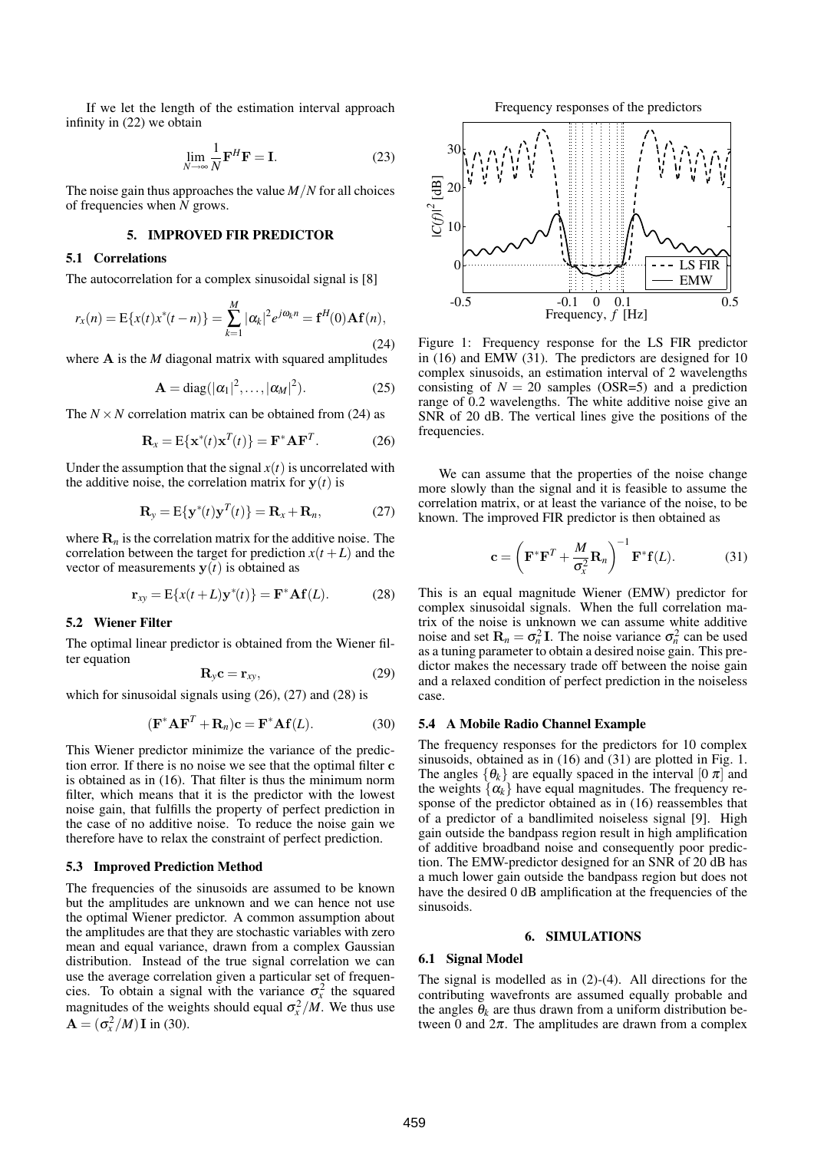If we let the length of the estimation interval approach infinity in (22) we obtain

$$
\lim_{N \to \infty} \frac{1}{N} \mathbf{F}^H \mathbf{F} = \mathbf{I}.
$$
 (23)

The noise gain thus approaches the value *M*/*N* for all choices of frequencies when *N* grows.

# **5. IMPROVED FIR PREDICTOR**

#### **5.1 Correlations**

The autocorrelation for a complex sinusoidal signal is [8]

$$
r_x(n) = \mathbb{E}\{x(t)x^*(t-n)\} = \sum_{k=1}^{M} |\alpha_k|^2 e^{j\omega_k n} = \mathbf{f}^H(0)\mathbf{A}\mathbf{f}(n),
$$
\n(24)

where **A** is the *M* diagonal matrix with squared amplitudes

$$
\mathbf{A} = \text{diag}(|\alpha_1|^2, \dots, |\alpha_M|^2). \tag{25}
$$

The  $N \times N$  correlation matrix can be obtained from (24) as

$$
\mathbf{R}_x = \mathbf{E}\{\mathbf{x}^*(t)\mathbf{x}^T(t)\} = \mathbf{F}^*\mathbf{A}\mathbf{F}^T.
$$
 (26)

Under the assumption that the signal  $x(t)$  is uncorrelated with the additive noise, the correlation matrix for  $y(t)$  is

$$
\mathbf{R}_{y} = \mathbf{E}\{\mathbf{y}^{*}(t)\mathbf{y}^{T}(t)\} = \mathbf{R}_{x} + \mathbf{R}_{n}, \tag{27}
$$

where  $\mathbf{R}_n$  is the correlation matrix for the additive noise. The correlation between the target for prediction  $x(t+L)$  and the vector of measurements  $y(t)$  is obtained as

$$
\mathbf{r}_{xy} = \mathbf{E}\{x(t+L)\mathbf{y}^*(t)\} = \mathbf{F}^* \mathbf{A} \mathbf{f}(L). \tag{28}
$$

#### **5.2 Wiener Filter**

The optimal linear predictor is obtained from the Wiener filter equation

$$
\mathbf{R}_y \mathbf{c} = \mathbf{r}_{xy},\tag{29}
$$

which for sinusoidal signals using (26), (27) and (28) is

$$
(\mathbf{F}^* \mathbf{A} \mathbf{F}^T + \mathbf{R}_n)\mathbf{c} = \mathbf{F}^* \mathbf{A} \mathbf{f}(L). \tag{30}
$$

This Wiener predictor minimize the variance of the prediction error. If there is no noise we see that the optimal filter c is obtained as in (16). That filter is thus the minimum norm filter, which means that it is the predictor with the lowest noise gain, that fulfills the property of perfect prediction in the case of no additive noise. To reduce the noise gain we therefore have to relax the constraint of perfect prediction.

#### **5.3 Improved Prediction Method**

The frequencies of the sinusoids are assumed to be known but the amplitudes are unknown and we can hence not use the optimal Wiener predictor. A common assumption about the amplitudes are that they are stochastic variables with zero mean and equal variance, drawn from a complex Gaussian distribution. Instead of the true signal correlation we can use the average correlation given a particular set of frequencies. To obtain a signal with the variance  $\sigma_x^2$  the squared magnitudes of the weights should equal  $\sigma_x^2/M$ . We thus use  $\mathbf{A} = (\sigma_x^2/M)\mathbf{I}$  in (30).





Figure 1: Frequency response for the LS FIR predictor in (16) and EMW (31). The predictors are designed for 10 complex sinusoids, an estimation interval of 2 wavelengths consisting of  $N = 20$  samples (OSR=5) and a prediction range of 0.2 wavelengths. The white additive noise give an SNR of 20 dB. The vertical lines give the positions of the frequencies.

We can assume that the properties of the noise change more slowly than the signal and it is feasible to assume the correlation matrix, or at least the variance of the noise, to be known. The improved FIR predictor is then obtained as

$$
\mathbf{c} = \left(\mathbf{F}^*\mathbf{F}^T + \frac{M}{\sigma_x^2}\mathbf{R}_n\right)^{-1}\mathbf{F}^*\mathbf{f}(L). \tag{31}
$$

This is an equal magnitude Wiener (EMW) predictor for complex sinusoidal signals. When the full correlation matrix of the noise is unknown we can assume white additive noise and set  $\mathbf{R}_n = \sigma_n^2 \mathbf{I}$ . The noise variance  $\sigma_n^2$  can be used as a tuning parameter to obtain a desired noise gain. This predictor makes the necessary trade off between the noise gain and a relaxed condition of perfect prediction in the noiseless case.

#### **5.4 A Mobile Radio Channel Example**

The frequency responses for the predictors for 10 complex sinusoids, obtained as in (16) and (31) are plotted in Fig. 1. The angles  $\{\theta_k\}$  are equally spaced in the interval [0  $\pi$ ] and the weights  $\{\alpha_k\}$  have equal magnitudes. The frequency response of the predictor obtained as in (16) reassembles that of a predictor of a bandlimited noiseless signal [9]. High gain outside the bandpass region result in high amplification of additive broadband noise and consequently poor prediction. The EMW-predictor designed for an SNR of 20 dB has a much lower gain outside the bandpass region but does not have the desired 0 dB amplification at the frequencies of the sinusoids.

#### **6. SIMULATIONS**

# **6.1 Signal Model**

The signal is modelled as in (2)-(4). All directions for the contributing wavefronts are assumed equally probable and the angles  $\theta_k$  are thus drawn from a uniform distribution between 0 and  $2\pi$ . The amplitudes are drawn from a complex